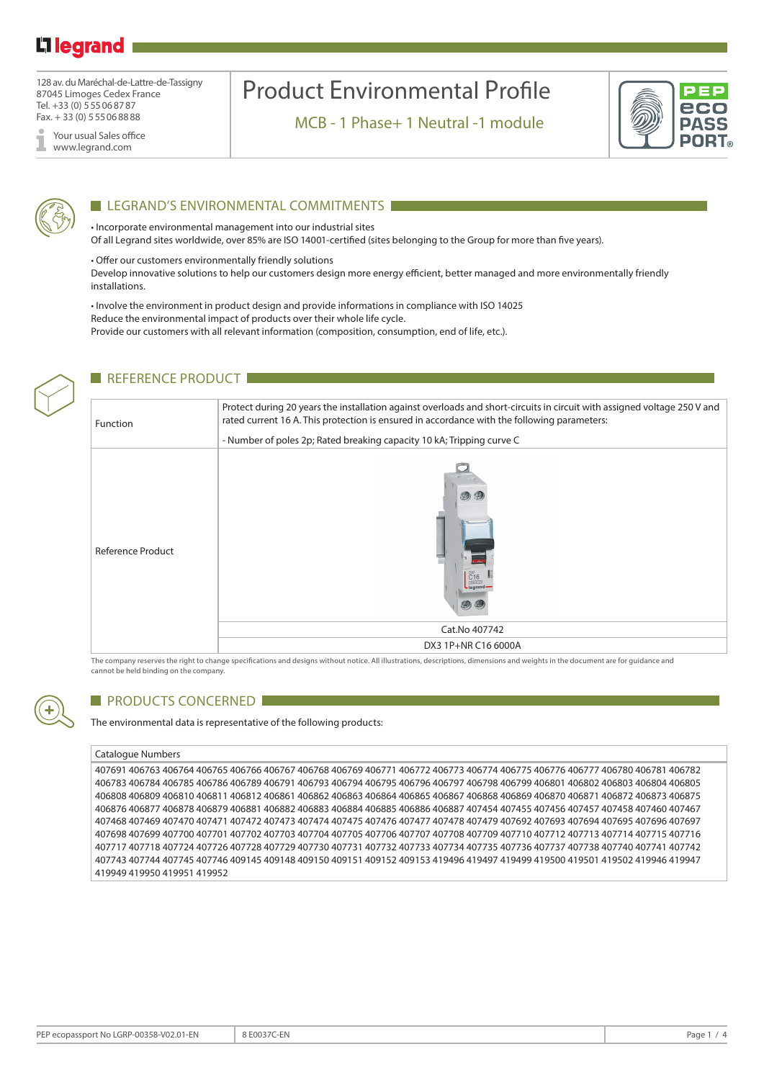# Li legrand

128 av. du Maréchal-de-Lattre-de-Tassigny 87045 Limoges Cedex France Tel. +33 (0) 555068787 Fax. + 33 (0) 555068888

Your usual Sales office www.legrand.com

# Product Environmental Profile

MCB - 1 Phase+ 1 Neutral -1 module





### **LEGRAND'S ENVIRONMENTAL COMMITMENTS**

• Incorporate environmental management into our industrial sites Of all Legrand sites worldwide, over 85% are ISO 14001-certified (sites belonging to the Group for more than five years).

• Offer our customers environmentally friendly solutions Develop innovative solutions to help our customers design more energy efficient, better managed and more environmentally friendly installations.

• Involve the environment in product design and provide informations in compliance with ISO 14025 Reduce the environmental impact of products over their whole life cycle. Provide our customers with all relevant information (composition, consumption, end of life, etc.).



The company reserves the right to change specifications and designs without notice. All illustrations, descriptions, dimensions and weights in the document are for guidance and cannot be held binding on the company.



### **PRODUCTS CONCERNED**

The environmental data is representative of the following products:

#### Catalogue Numbers

407691 406763 406764 406765 406766 406767 406768 406769 406771 406772 406773 406774 406775 406776 406777 406780 406781 406782 406783 406784 406785 406786 406789 406791 406793 406794 406795 406796 406797 406798 406799 406801 406802 406803 406804 406805 406808 406809 406810 406811 406812 406861 406862 406863 406864 406865 406867 406868 406869 406870 406871 406872 406873 406875 406876 406877 406878 406879 406881 406882 406883 406884 406885 406886 406887 407454 407455 407456 407457 407458 407460 407467 407468 407469 407470 407471 407472 407473 407474 407475 407476 407477 407478 407479 407692 407693 407694 407695 407696 407697 407698 407699 407700 407701 407702 407703 407704 407705 407706 407707 407708 407709 407710 407712 407713 407714 407715 407716 407717 407718 407724 407726 407728 407729 407730 407731 407732 407733 407734 407735 407736 407737 407738 407740 407741 407742 407743 407744 407745 407746 409145 409148 409150 409151 409152 409153 419496 419497 419499 419500 419501 419502 419946 419947 419949 419950 419951 419952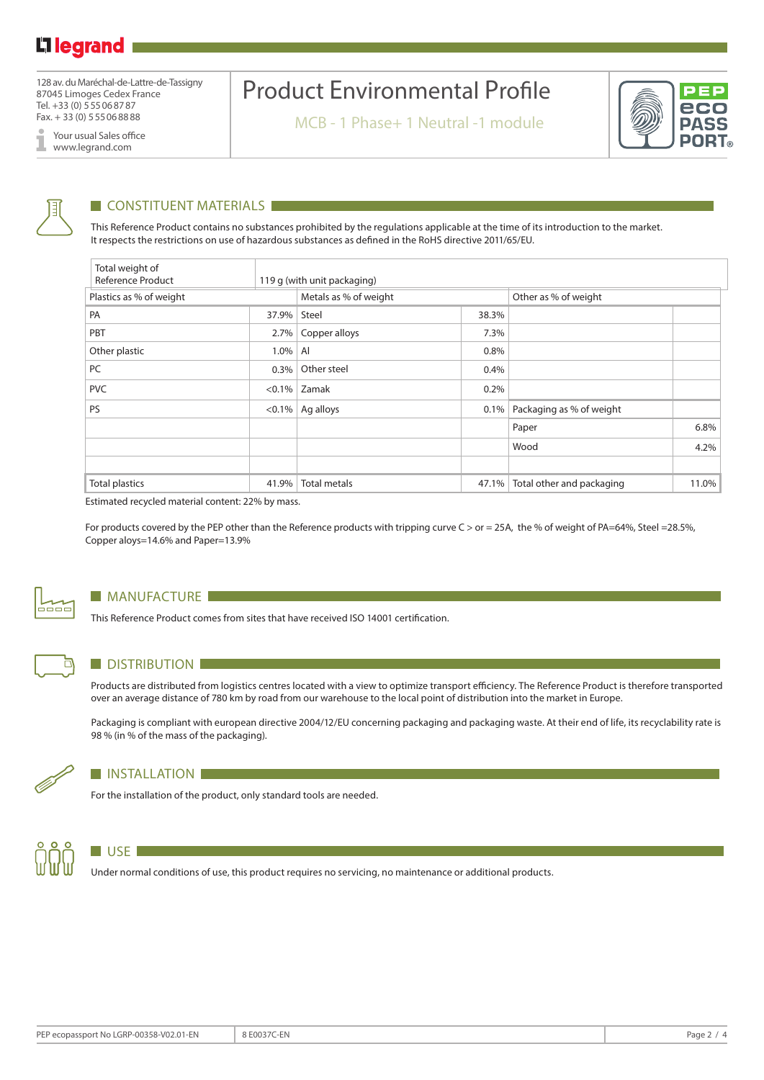128 av. du Maréchal-de-Lattre-de-Tassigny 87045 Limoges Cedex France Tel. +33 (0) 555068787 Fax. + 33 (0) 555068888

Your usual Sales office I www.legrand.com

# Product Environmental Profile

MCB - 1 Phase+ 1 Neutral -1 module





### **CONSTITUENT MATERIALS**

This Reference Product contains no substances prohibited by the regulations applicable at the time of its introduction to the market. It respects the restrictions on use of hazardous substances as defined in the RoHS directive 2011/65/EU.

| Total weight of<br>Reference Product |           | 119 g (with unit packaging) |         |                           |       |  |  |
|--------------------------------------|-----------|-----------------------------|---------|---------------------------|-------|--|--|
| Plastics as % of weight              |           | Metals as % of weight       |         | Other as % of weight      |       |  |  |
| PA                                   | 37.9%     | Steel                       | 38.3%   |                           |       |  |  |
| PBT                                  | $2.7\%$   | Copper alloys               | 7.3%    |                           |       |  |  |
| Other plastic                        | 1.0%      | Al                          | 0.8%    |                           |       |  |  |
| PC                                   | 0.3%      | Other steel                 | 0.4%    |                           |       |  |  |
| <b>PVC</b>                           | $< 0.1\%$ | Zamak                       | 0.2%    |                           |       |  |  |
| <b>PS</b>                            | $< 0.1\%$ | Ag alloys                   | $0.1\%$ | Packaging as % of weight  |       |  |  |
|                                      |           |                             |         | Paper                     | 6.8%  |  |  |
|                                      |           |                             |         | Wood                      | 4.2%  |  |  |
|                                      |           |                             |         |                           |       |  |  |
| <b>Total plastics</b>                | 41.9%     | Total metals                | 47.1%   | Total other and packaging | 11.0% |  |  |

Estimated recycled material content: 22% by mass.

For products covered by the PEP other than the Reference products with tripping curve C > or = 25A, the % of weight of PA=64%, Steel =28.5%, Copper aloys=14.6% and Paper=13.9%



### **MANUFACTURE**

This Reference Product comes from sites that have received ISO 14001 certification.



### **DISTRIBUTION**

**INSTALLATION** 

Products are distributed from logistics centres located with a view to optimize transport efficiency. The Reference Product is therefore transported over an average distance of 780 km by road from our warehouse to the local point of distribution into the market in Europe.

Packaging is compliant with european directive 2004/12/EU concerning packaging and packaging waste. At their end of life, its recyclability rate is 98 % (in % of the mass of the packaging).

For the installation of the product, only standard tools are needed.



### $\Box$  USE

Under normal conditions of use, this product requires no servicing, no maintenance or additional products.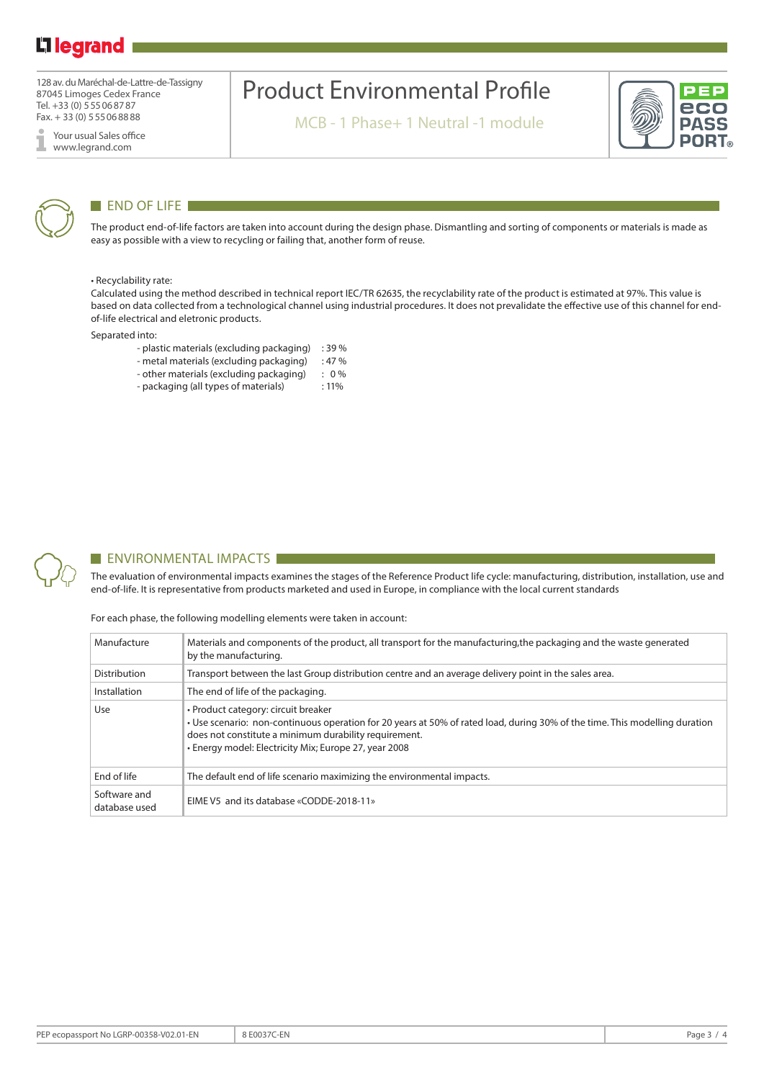# L<sub>1</sub> legrand

128 av. du Maréchal-de-Lattre-de-Tassigny 87045 Limoges Cedex France Tel. +33 (0) 555068787 Fax. + 33 (0) 555068888

Your usual Sales office I www.legrand.com

# Product Environmental Profile

MCB - 1 Phase+ 1 Neutral -1 module





### END OF LIFE

The product end-of-life factors are taken into account during the design phase. Dismantling and sorting of components or materials is made as easy as possible with a view to recycling or failing that, another form of reuse.

#### • Recyclability rate:

Calculated using the method described in technical report IEC/TR 62635, the recyclability rate of the product is estimated at 97%. This value is based on data collected from a technological channel using industrial procedures. It does not prevalidate the effective use of this channel for endof-life electrical and eletronic products.

Separated into:

- plastic materials (excluding packaging) : 39 %
- metal materials (excluding packaging) : 47 %
- other materials (excluding packaging) : 0 %
- packaging (all types of materials) : 11%



### **ENVIRONMENTAL IMPACTS**

The evaluation of environmental impacts examines the stages of the Reference Product life cycle: manufacturing, distribution, installation, use and end-of-life. It is representative from products marketed and used in Europe, in compliance with the local current standards

For each phase, the following modelling elements were taken in account:

| Manufacture                   | Materials and components of the product, all transport for the manufacturing, the packaging and the waste generated<br>by the manufacturing.                                                                                                                                         |
|-------------------------------|--------------------------------------------------------------------------------------------------------------------------------------------------------------------------------------------------------------------------------------------------------------------------------------|
| Distribution                  | Transport between the last Group distribution centre and an average delivery point in the sales area.                                                                                                                                                                                |
| Installation                  | The end of life of the packaging.                                                                                                                                                                                                                                                    |
| Use                           | • Product category: circuit breaker<br>• Use scenario: non-continuous operation for 20 years at 50% of rated load, during 30% of the time. This modelling duration<br>does not constitute a minimum durability requirement.<br>• Energy model: Electricity Mix; Europe 27, year 2008 |
| End of life                   | The default end of life scenario maximizing the environmental impacts.                                                                                                                                                                                                               |
| Software and<br>database used | EIME V5 and its database «CODDE-2018-11»                                                                                                                                                                                                                                             |